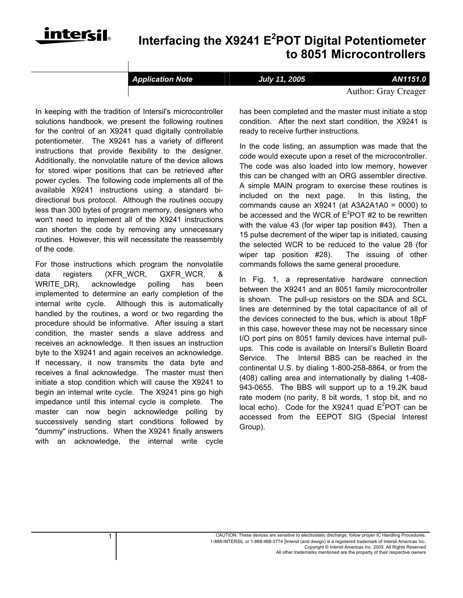

## ® **Interfacing the X9241 E<sup>2</sup> POT Digital Potentiometer to 8051 Microcontrollers**

*Application Note* **July 11, 2005** *AN1151.0*

Author: Gray Creager

In keeping with the tradition of Intersil's microcontroller solutions handbook, we present the following routines for the control of an X9241 quad digitally controllable potentiometer. The X9241 has a variety of different instructions that provide flexibility to the designer. Additionally, the nonvolatile nature of the device allows for stored wiper positions that can be retrieved after power cycles. The following code implements all of the available X9241 instructions using a standard bidirectional bus protocol. Although the routines occupy less than 300 bytes of program memory, designers who won't need to implement all of the X9241 instructions can shorten the code by removing any unnecessary routines. However, this will necessitate the reassembly of the code.

For those instructions which program the nonvolatile data registers (XFR\_WCR, GXFR\_WCR, & WRITE DR), acknowledge polling has been implemented to determine an early completion of the internal write cycle. Although this is automatically handled by the routines, a word or two regarding the procedure should be informative. After issuing a start condition, the master sends a slave address and receives an acknowledge. It then issues an instruction byte to the X9241 and again receives an acknowledge. If necessary, it now transmits the data byte and receives a final acknowledge. The master must then initiate a stop condition which will cause the X9241 to begin an internal write cycle. The X9241 pins go high impedance until this internal cycle is complete. The master can now begin acknowledge polling by successively sending start conditions followed by "dummy" instructions. When the X9241 finally answers with an acknowledge, the internal write cycle has been completed and the master must initiate a stop condition. After the next start condition, the X9241 is ready to receive further instructions.

In the code listing, an assumption was made that the code would execute upon a reset of the microcontroller. The code was also loaded into low memory, however this can be changed with an ORG assembler directive. A simple MAIN program to exercise these routines is included on the next page. In this listing, the commands cause an X9241 (at A3A2A1A0 = 0000) to be accessed and the WCR of  $E^2$ POT #2 to be rewritten with the value 43 (for wiper tap position #43). Then a 15 pulse decrement of the wiper tap is initiated, causing the selected WCR to be reduced to the value 28 (for wiper tap position #28). The issuing of other commands follows the same general procedure.

In Fig. 1, a representative hardware connection between the X9241 and an 8051 family microcontroller is shown. The pull-up resistors on the SDA and SCL lines are determined by the total capacitance of all of the devices connected to the bus, which is about 18pF in this case, however these may not be necessary since I/O port pins on 8051 family devices have internal pullups. This code is available on Intersil's Bulletin Board Service. The Intersil BBS can be reached in the continental U.S. by dialing 1-800-258-8864, or from the (408) calling area and internationally by dialing 1-408- 943-0655. The BBS will support up to a 19.2K baud rate modem (no parity, 8 bit words, 1 stop bit, and no local echo). Code for the X9241 quad  $E^2$ POT can be accessed from the EEPOT SIG (Special Interest Group).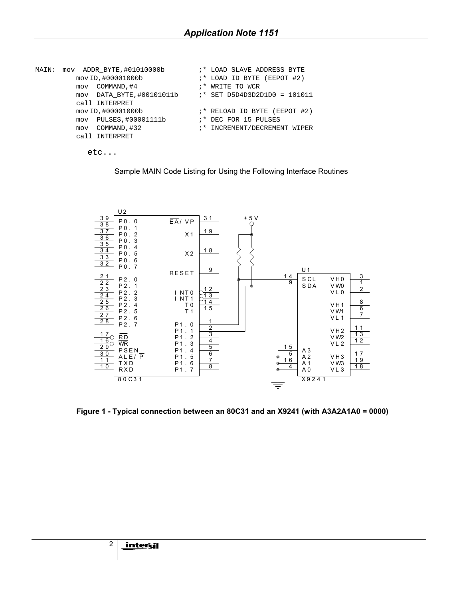| MAIN: | mov ADDR BYTE, #01010000b | :* LOAD SLAVE ADDRESS BYTE    |  |
|-------|---------------------------|-------------------------------|--|
|       | mov ID, #00001000b        | ;* LOAD ID BYTE (EEPOT #2)    |  |
|       | mov COMMAND, #4           | ;* WRITE TO WCR               |  |
|       | mov DATA BYTE, #00101011b | $:$ SET D5D4D3D2D1D0 = 101011 |  |
|       | call INTERPRET            |                               |  |
|       | mov ID, #00001000b        | ;* RELOAD ID BYTE (EEPOT #2)  |  |
|       | mov PULSES, #00001111b    | ;* DEC FOR 15 PULSES          |  |
|       | COMMAND, #32<br>mov       | ;* INCREMENT/DECREMENT WIPER  |  |
|       | call INTERPRET            |                               |  |
|       |                           |                               |  |

```
 etc...
```




 **Figure 1 - Typical connection between an 80C31 and an X9241 (with A3A2A1A0 = 0000)**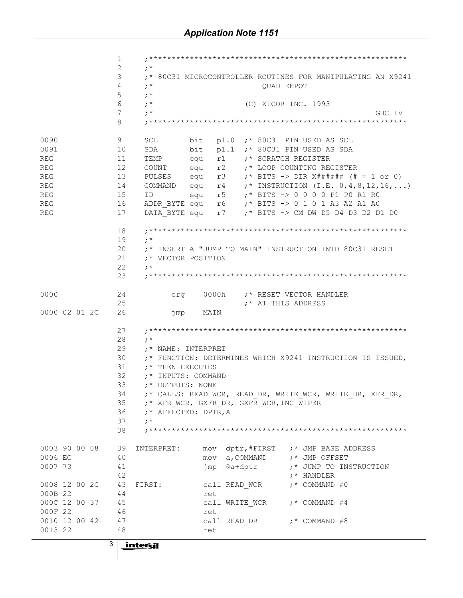$\mathbf{1}$  $\overline{2}$  $\cdot$  \*  $3<sup>7</sup>$ ;\* 80C31 MICROCONTROLLER ROUTINES FOR MANIPULATING AN X9241  $; *$  $\overline{4}$ OUAD EEPOT 5  $; *$ 6  $\cdot$  \* (C) XICOR INC. 1993  $7<sup>7</sup>$  $\cdot$   $\cdot$ GHC IV 8  $0090$ 9 SCL bit p1.0 ; \* 80C31 PIN USED AS SCL 0091 10 SDA bit p1.1 ;\* 80C31 PIN USED AS SDA 11 TEMP equ r1 ;\* SCRATCH REGISTER<br>12 COUNT equ r2 ;\* LOOP COUNTING REGISTER<br>13 PULSES equ r3 ;\* BITS -> DIR X###### (# = 1 or 0) REG REG REG REG 14 COMMAND equ  $r4$  ;\* INSTRUCTION (I.E. 0,4,8,12,16,...)  $; *$  BITS  $\rightarrow$  0 0 0 0 p1 p0 r1 r0 ID equ r5 **REG** 15 **REG** REG 17 DATA BYTE equ r7 ;\* BITS -> CM DW D5 D4 D3 D2 D1 D0 18 19  $\cdot$   $\cdot$  $20$ ;\* INSERT A "JUMP TO MAIN" INSTRUCTION INTO 80C31 RESET ;\* VECTOR POSITION  $21$ 22  $\cdot$  :  $\star$  $23$ org 0000h ;\* RESET VECTOR HANDLER 0000 24 25 ;\* AT THIS ADDRESS 0000 02 01 2C 26 jmp MAIN 27  $28$  $\cdot$   $\cdot$ 29 ;\* NAME: INTERPRET ;\* FUNCTION: DETERMINES WHICH X9241 INSTRUCTION IS ISSUED, 30 ;\* THEN EXECUTES 31  $32<sup>2</sup>$ ;\* INPUTS: COMMAND 33 ;\* OUTPUTS: NONE ;\* CALLS: READ WCR, READ DR, WRITE WCR, WRITE DR, XFR DR, 34 ;\* XFR WCR, GXFR DR, GXFR WCR, INC WIPER 35 36 ;\* AFFECTED: DPTR, A  $\cdot$   $\cdot$ 37 38 0003 90 00 08 39 INTERPRET: mov dptr, #FIRST ;\* JMP BASE ADDRESS ;\* JMP OFFSET 0006 EC mov a, COMMAND 40 jmp @a+dptr 0007 73 41 ;\* JUMP TO INSTRUCTION 42 ;\* HANDLER 0008 12 00 2C 43 FIRST:  $;*$  COMMAND #0 call READ WCR 44 000B 22 ret 000C 12 00 37 45 call WRITE WCR  $;*$  COMMAND #4 000F 22 46 ret 0010 12 00 42 47 call READ DR ;\* COMMAND #8 0013 22 48 ret  $3<sup>1</sup>$ in<u>tersil</u>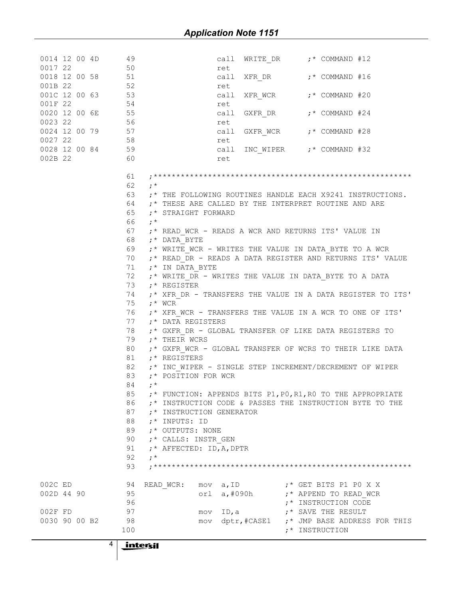| 0014 12 00 4D                                                                                                                                                                                                                  | 49<br>call WRITE DR $; *$ COMMAND #12                                                  |
|--------------------------------------------------------------------------------------------------------------------------------------------------------------------------------------------------------------------------------|----------------------------------------------------------------------------------------|
| 0014 12 00 4D<br>0017 22 50<br>0018 12 00 58 51<br>001B 22 52<br>001C 12 00 63 53<br>001F 22 54<br>0020 12 00 6E 55<br>0023 22 56<br>0023 22 56<br>0024 12 00 79 57<br>0027 22 58<br>0028 12 00 84 59<br>002B 22 60<br>0017 22 | ret                                                                                    |
|                                                                                                                                                                                                                                |                                                                                        |
|                                                                                                                                                                                                                                | ret                                                                                    |
|                                                                                                                                                                                                                                |                                                                                        |
|                                                                                                                                                                                                                                | ret                                                                                    |
|                                                                                                                                                                                                                                | call GXFR DR ;* COMMAND #24                                                            |
|                                                                                                                                                                                                                                | ret                                                                                    |
|                                                                                                                                                                                                                                | call GXFR WCR ;* COMMAND #28                                                           |
|                                                                                                                                                                                                                                |                                                                                        |
|                                                                                                                                                                                                                                |                                                                                        |
| 002B 22 60                                                                                                                                                                                                                     | ret                                                                                    |
|                                                                                                                                                                                                                                | 61                                                                                     |
|                                                                                                                                                                                                                                | 62<br>$\cdot$ *                                                                        |
|                                                                                                                                                                                                                                | 63<br>;* THE FOLLOWING ROUTINES HANDLE EACH X9241 INSTRUCTIONS.                        |
|                                                                                                                                                                                                                                | 64<br>;* THESE ARE CALLED BY THE INTERPRET ROUTINE AND ARE                             |
|                                                                                                                                                                                                                                | 65<br>;* STRAIGHT FORWARD                                                              |
|                                                                                                                                                                                                                                | 66<br>$; *$                                                                            |
|                                                                                                                                                                                                                                | 67<br>;* READ WCR - READS A WCR AND RETURNS ITS' VALUE IN                              |
|                                                                                                                                                                                                                                | 68<br>;* DATA BYTE                                                                     |
|                                                                                                                                                                                                                                | 69 ;* WRITE WCR - WRITES THE VALUE IN DATA BYTE TO A WCR                               |
|                                                                                                                                                                                                                                | 70 ;* READ DR - READS A DATA REGISTER AND RETURNS ITS' VALUE                           |
|                                                                                                                                                                                                                                | 71<br>$;*$ IN DATA BYTE                                                                |
|                                                                                                                                                                                                                                | 72<br>;* WRITE DR - WRITES THE VALUE IN DATA BYTE TO A DATA                            |
|                                                                                                                                                                                                                                | 73<br>;* REGISTER                                                                      |
|                                                                                                                                                                                                                                | 74<br>;* XFR_DR - TRANSFERS THE VALUE IN A DATA REGISTER TO ITS'                       |
|                                                                                                                                                                                                                                | 75<br>$; *$ WCR                                                                        |
|                                                                                                                                                                                                                                | 76 ;* XFR WCR - TRANSFERS THE VALUE IN A WCR TO ONE OF ITS'                            |
|                                                                                                                                                                                                                                | 77<br>;* DATA REGISTERS                                                                |
|                                                                                                                                                                                                                                | 78<br>;* GXFR DR - GLOBAL TRANSFER OF LIKE DATA REGISTERS TO                           |
|                                                                                                                                                                                                                                | 79<br>$,^{\star}$ THEIR WCRS                                                           |
|                                                                                                                                                                                                                                | 80<br>;* GXFR_WCR - GLOBAL TRANSFER OF WCRS TO THEIR LIKE DATA                         |
|                                                                                                                                                                                                                                | 81<br>$;*$ REGISTERS                                                                   |
|                                                                                                                                                                                                                                | 82<br>;* INC_WIPER - SINGLE STEP INCREMENT/DECREMENT OF WIPER                          |
|                                                                                                                                                                                                                                | 83<br>;* POSITION FOR WCR                                                              |
|                                                                                                                                                                                                                                | 84<br>$:$ *                                                                            |
|                                                                                                                                                                                                                                | 85<br>;* FUNCTION: APPENDS BITS P1, P0, R1, R0 TO THE APPROPRIATE                      |
|                                                                                                                                                                                                                                | 86<br>:* INSTRUCTION CODE & PASSES THE INSTRUCTION BYTE TO THE                         |
|                                                                                                                                                                                                                                | 87<br>;* INSTRUCTION GENERATOR                                                         |
|                                                                                                                                                                                                                                | 88<br>;* INPUTS: ID                                                                    |
|                                                                                                                                                                                                                                | 89<br>;* OUTPUTS: NONE                                                                 |
|                                                                                                                                                                                                                                | 90<br>;* CALLS: INSTR GEN                                                              |
|                                                                                                                                                                                                                                | 91<br>;* AFFECTED: ID, A, DPTR                                                         |
|                                                                                                                                                                                                                                | 92<br>$; *$                                                                            |
|                                                                                                                                                                                                                                | 93                                                                                     |
|                                                                                                                                                                                                                                |                                                                                        |
| 002C ED                                                                                                                                                                                                                        | ;* GET BITS P1 P0 X X<br>94<br>READ WCR:<br>mov a, ID                                  |
| 002D 44 90                                                                                                                                                                                                                     | orl a, #090h ;* APPEND TO READ_WCR<br>95<br>96                                         |
| 002F FD                                                                                                                                                                                                                        | ;* INSTRUCTION CODE<br>97                                                              |
| 0030 90 00 B2                                                                                                                                                                                                                  | mov ID, a $:$ * SAVE THE RESULT<br>98<br>mov dptr, #CASE1 ;* JMP BASE ADDRESS FOR THIS |
|                                                                                                                                                                                                                                | 100<br>;* INSTRUCTION                                                                  |
|                                                                                                                                                                                                                                |                                                                                        |
| 4                                                                                                                                                                                                                              | <u>intersil</u>                                                                        |
|                                                                                                                                                                                                                                |                                                                                        |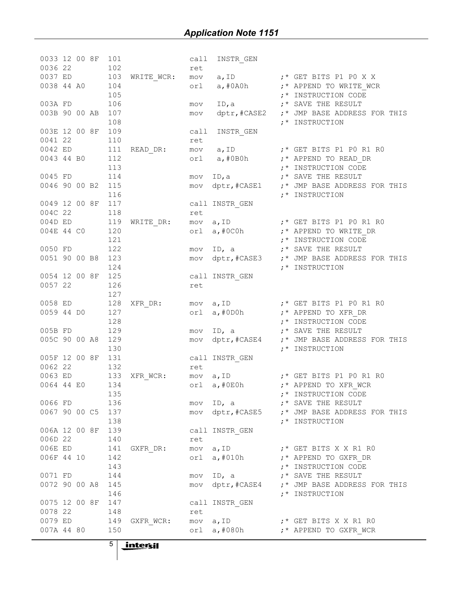| $\begin{array}{llll} 0036 & 22 & 102 \\ 0037 & \text{ED} & 103 \\ 0038 & 44 & \text{A0} & 104 \end{array}$<br>$\begin{tabular}{lllllllllll} \hline \text{mov} & a, \text{ID} & & \text{; * GET BITS P1 P0 X X} \\ \hline \end{tabular}$<br>$\texttt{WRTTE\_WCR:}$<br>orl $a, #0A0h$ $; *$ APPEND TO WRITE_WCR<br>105<br>;* INSTRUCTION CODE<br>106<br>ID, a $:$ $:$ SAVE THE RESULT<br>003A FD<br>mov<br>003B 90 00 AB<br>dptr, #CASE2 ;* JMP BASE ADDRESS FOR THIS<br>107<br>mov<br>108<br>;* INSTRUCTION<br>003E 12 00 8F<br>109<br>call<br>INSTR_GEN<br>0041 22<br>110<br>ret<br>0042 ED<br>111<br>mov a, ID ;* GET BITS P1 P0 R1 R0<br>orl a, #0B0h ;* APPEND TO READ_DR<br>$\verb"READ_DR":$<br>112<br>0043 44 BO<br>113<br>;* INSTRUCTION CODE<br>114<br>mov ID, a $:$ $:$ SAVE THE RESULT<br>0045 FD<br>0046 90 00 B2 115<br>mov dptr, #CASE1 :* JMP BASE ADDRESS FOR THIS<br>116<br>;* INSTRUCTION<br>0049 12 00 8F<br>117<br>call INSTR_GEN<br>004C 22<br>118<br>118<br>119<br>ret<br>004D ED<br>mov a, ID<br>orl a, #0C0h ;* APPEND TO WRITE_DR<br>$\texttt{WRITE\_DR:}$<br>120<br>004E 44 CO<br>121<br>;* INSTRUCTION CODE<br>122<br>mov ID, a $\qquad \qquad ;*$ SAVE THE RESULT<br>0050 FD<br>0051 90 00 B8 123<br>mov dptr, #CASE3 :* JMP BASE ADDRESS FOR THIS<br>124<br>;* INSTRUCTION<br>125<br>call INSTR_GEN<br>0054 12 00 8F<br>0057 22<br>126<br>ret<br>127<br>0058 ED 128<br>mov a, ID ;* GET BITS P1 P0 R1 R0<br>$XFR\_DR:$<br>127<br>orl a, #0D0h ;* APPEND TO XFR_DR<br>0059 44 DO<br>128<br>;* INSTRUCTION CODE<br>129<br>mov ID, a $:$ $;$ SAVE THE RESULT<br>005B FD<br>005C 90 00 A8<br>129<br>mov dptr, #CASE4 :* JMP BASE ADDRESS FOR THIS<br>130<br>;* INSTRUCTION<br>005F 12 00 8F<br>131<br>call INSTR_GEN<br>0062 22<br>132<br>ret<br>133<br>0063 ED<br>mov a, ID<br>orl a, #0E0h<br>;* APPEND TO XFR_WCR<br><br>XFR_WCR:<br>134<br>0064 44 E0<br>135<br>;* INSTRUCTION CODE<br>136<br>0066 FD<br>;* SAVE THE RESULT<br>ID, $a$<br>mov<br>0067 90 00 C5<br>137<br>dptr,#CASE5<br>;* JMP BASE ADDRESS FOR THIS<br>mov<br>138<br>;* INSTRUCTION<br>006A 12 00 8F<br>139<br>call INSTR GEN<br>006D 22<br>140<br>ret<br>006E ED<br>141<br>mov a, ID<br>;* GET BITS X X R1 R0<br>GXFR DR:<br>006F 44 10<br>142<br>a,#010h<br>;* APPEND TO GXFR DR<br>orl<br>143<br>;* INSTRUCTION CODE<br>0071 FD<br>144<br>;* SAVE THE RESULT<br>ID, a<br>mov<br>0072 90 00 A8<br>145<br>dptr, #CASE4<br>;* JMP BASE ADDRESS FOR THIS<br>mov<br>146<br>;* INSTRUCTION<br>0075 12 00 8F<br>147<br>call INSTR GEN<br>0078 22<br>148<br>ret<br>0079 ED<br>149<br>a,ID<br>GXFR WCR:<br>mov<br>$;*$ GET BITS X X R1 R0<br>007A 44 80<br>150<br>a,#080h<br>orl<br>;* APPEND TO GXFR WCR | 0033 12 00 8F |  | 101 | call | INSTR_GEN |  |
|--------------------------------------------------------------------------------------------------------------------------------------------------------------------------------------------------------------------------------------------------------------------------------------------------------------------------------------------------------------------------------------------------------------------------------------------------------------------------------------------------------------------------------------------------------------------------------------------------------------------------------------------------------------------------------------------------------------------------------------------------------------------------------------------------------------------------------------------------------------------------------------------------------------------------------------------------------------------------------------------------------------------------------------------------------------------------------------------------------------------------------------------------------------------------------------------------------------------------------------------------------------------------------------------------------------------------------------------------------------------------------------------------------------------------------------------------------------------------------------------------------------------------------------------------------------------------------------------------------------------------------------------------------------------------------------------------------------------------------------------------------------------------------------------------------------------------------------------------------------------------------------------------------------------------------------------------------------------------------------------------------------------------------------------------------------------------------------------------------------------------------------------------------------------------------------------------------------------------------------------------------------------------------------------------------------------------------------------------------------------------------------------------------------------------------------------------------------------------------------------------------------------------------------------------------------------------------------------------------------------------------------------------------------------------------------------------|---------------|--|-----|------|-----------|--|
|                                                                                                                                                                                                                                                                                                                                                                                                                                                                                                                                                                                                                                                                                                                                                                                                                                                                                                                                                                                                                                                                                                                                                                                                                                                                                                                                                                                                                                                                                                                                                                                                                                                                                                                                                                                                                                                                                                                                                                                                                                                                                                                                                                                                                                                                                                                                                                                                                                                                                                                                                                                                                                                                                                  |               |  |     | ret  |           |  |
|                                                                                                                                                                                                                                                                                                                                                                                                                                                                                                                                                                                                                                                                                                                                                                                                                                                                                                                                                                                                                                                                                                                                                                                                                                                                                                                                                                                                                                                                                                                                                                                                                                                                                                                                                                                                                                                                                                                                                                                                                                                                                                                                                                                                                                                                                                                                                                                                                                                                                                                                                                                                                                                                                                  |               |  |     |      |           |  |
|                                                                                                                                                                                                                                                                                                                                                                                                                                                                                                                                                                                                                                                                                                                                                                                                                                                                                                                                                                                                                                                                                                                                                                                                                                                                                                                                                                                                                                                                                                                                                                                                                                                                                                                                                                                                                                                                                                                                                                                                                                                                                                                                                                                                                                                                                                                                                                                                                                                                                                                                                                                                                                                                                                  |               |  |     |      |           |  |
|                                                                                                                                                                                                                                                                                                                                                                                                                                                                                                                                                                                                                                                                                                                                                                                                                                                                                                                                                                                                                                                                                                                                                                                                                                                                                                                                                                                                                                                                                                                                                                                                                                                                                                                                                                                                                                                                                                                                                                                                                                                                                                                                                                                                                                                                                                                                                                                                                                                                                                                                                                                                                                                                                                  |               |  |     |      |           |  |
|                                                                                                                                                                                                                                                                                                                                                                                                                                                                                                                                                                                                                                                                                                                                                                                                                                                                                                                                                                                                                                                                                                                                                                                                                                                                                                                                                                                                                                                                                                                                                                                                                                                                                                                                                                                                                                                                                                                                                                                                                                                                                                                                                                                                                                                                                                                                                                                                                                                                                                                                                                                                                                                                                                  |               |  |     |      |           |  |
|                                                                                                                                                                                                                                                                                                                                                                                                                                                                                                                                                                                                                                                                                                                                                                                                                                                                                                                                                                                                                                                                                                                                                                                                                                                                                                                                                                                                                                                                                                                                                                                                                                                                                                                                                                                                                                                                                                                                                                                                                                                                                                                                                                                                                                                                                                                                                                                                                                                                                                                                                                                                                                                                                                  |               |  |     |      |           |  |
|                                                                                                                                                                                                                                                                                                                                                                                                                                                                                                                                                                                                                                                                                                                                                                                                                                                                                                                                                                                                                                                                                                                                                                                                                                                                                                                                                                                                                                                                                                                                                                                                                                                                                                                                                                                                                                                                                                                                                                                                                                                                                                                                                                                                                                                                                                                                                                                                                                                                                                                                                                                                                                                                                                  |               |  |     |      |           |  |
|                                                                                                                                                                                                                                                                                                                                                                                                                                                                                                                                                                                                                                                                                                                                                                                                                                                                                                                                                                                                                                                                                                                                                                                                                                                                                                                                                                                                                                                                                                                                                                                                                                                                                                                                                                                                                                                                                                                                                                                                                                                                                                                                                                                                                                                                                                                                                                                                                                                                                                                                                                                                                                                                                                  |               |  |     |      |           |  |
|                                                                                                                                                                                                                                                                                                                                                                                                                                                                                                                                                                                                                                                                                                                                                                                                                                                                                                                                                                                                                                                                                                                                                                                                                                                                                                                                                                                                                                                                                                                                                                                                                                                                                                                                                                                                                                                                                                                                                                                                                                                                                                                                                                                                                                                                                                                                                                                                                                                                                                                                                                                                                                                                                                  |               |  |     |      |           |  |
|                                                                                                                                                                                                                                                                                                                                                                                                                                                                                                                                                                                                                                                                                                                                                                                                                                                                                                                                                                                                                                                                                                                                                                                                                                                                                                                                                                                                                                                                                                                                                                                                                                                                                                                                                                                                                                                                                                                                                                                                                                                                                                                                                                                                                                                                                                                                                                                                                                                                                                                                                                                                                                                                                                  |               |  |     |      |           |  |
|                                                                                                                                                                                                                                                                                                                                                                                                                                                                                                                                                                                                                                                                                                                                                                                                                                                                                                                                                                                                                                                                                                                                                                                                                                                                                                                                                                                                                                                                                                                                                                                                                                                                                                                                                                                                                                                                                                                                                                                                                                                                                                                                                                                                                                                                                                                                                                                                                                                                                                                                                                                                                                                                                                  |               |  |     |      |           |  |
|                                                                                                                                                                                                                                                                                                                                                                                                                                                                                                                                                                                                                                                                                                                                                                                                                                                                                                                                                                                                                                                                                                                                                                                                                                                                                                                                                                                                                                                                                                                                                                                                                                                                                                                                                                                                                                                                                                                                                                                                                                                                                                                                                                                                                                                                                                                                                                                                                                                                                                                                                                                                                                                                                                  |               |  |     |      |           |  |
|                                                                                                                                                                                                                                                                                                                                                                                                                                                                                                                                                                                                                                                                                                                                                                                                                                                                                                                                                                                                                                                                                                                                                                                                                                                                                                                                                                                                                                                                                                                                                                                                                                                                                                                                                                                                                                                                                                                                                                                                                                                                                                                                                                                                                                                                                                                                                                                                                                                                                                                                                                                                                                                                                                  |               |  |     |      |           |  |
|                                                                                                                                                                                                                                                                                                                                                                                                                                                                                                                                                                                                                                                                                                                                                                                                                                                                                                                                                                                                                                                                                                                                                                                                                                                                                                                                                                                                                                                                                                                                                                                                                                                                                                                                                                                                                                                                                                                                                                                                                                                                                                                                                                                                                                                                                                                                                                                                                                                                                                                                                                                                                                                                                                  |               |  |     |      |           |  |
|                                                                                                                                                                                                                                                                                                                                                                                                                                                                                                                                                                                                                                                                                                                                                                                                                                                                                                                                                                                                                                                                                                                                                                                                                                                                                                                                                                                                                                                                                                                                                                                                                                                                                                                                                                                                                                                                                                                                                                                                                                                                                                                                                                                                                                                                                                                                                                                                                                                                                                                                                                                                                                                                                                  |               |  |     |      |           |  |
|                                                                                                                                                                                                                                                                                                                                                                                                                                                                                                                                                                                                                                                                                                                                                                                                                                                                                                                                                                                                                                                                                                                                                                                                                                                                                                                                                                                                                                                                                                                                                                                                                                                                                                                                                                                                                                                                                                                                                                                                                                                                                                                                                                                                                                                                                                                                                                                                                                                                                                                                                                                                                                                                                                  |               |  |     |      |           |  |
|                                                                                                                                                                                                                                                                                                                                                                                                                                                                                                                                                                                                                                                                                                                                                                                                                                                                                                                                                                                                                                                                                                                                                                                                                                                                                                                                                                                                                                                                                                                                                                                                                                                                                                                                                                                                                                                                                                                                                                                                                                                                                                                                                                                                                                                                                                                                                                                                                                                                                                                                                                                                                                                                                                  |               |  |     |      |           |  |
|                                                                                                                                                                                                                                                                                                                                                                                                                                                                                                                                                                                                                                                                                                                                                                                                                                                                                                                                                                                                                                                                                                                                                                                                                                                                                                                                                                                                                                                                                                                                                                                                                                                                                                                                                                                                                                                                                                                                                                                                                                                                                                                                                                                                                                                                                                                                                                                                                                                                                                                                                                                                                                                                                                  |               |  |     |      |           |  |
|                                                                                                                                                                                                                                                                                                                                                                                                                                                                                                                                                                                                                                                                                                                                                                                                                                                                                                                                                                                                                                                                                                                                                                                                                                                                                                                                                                                                                                                                                                                                                                                                                                                                                                                                                                                                                                                                                                                                                                                                                                                                                                                                                                                                                                                                                                                                                                                                                                                                                                                                                                                                                                                                                                  |               |  |     |      |           |  |
|                                                                                                                                                                                                                                                                                                                                                                                                                                                                                                                                                                                                                                                                                                                                                                                                                                                                                                                                                                                                                                                                                                                                                                                                                                                                                                                                                                                                                                                                                                                                                                                                                                                                                                                                                                                                                                                                                                                                                                                                                                                                                                                                                                                                                                                                                                                                                                                                                                                                                                                                                                                                                                                                                                  |               |  |     |      |           |  |
|                                                                                                                                                                                                                                                                                                                                                                                                                                                                                                                                                                                                                                                                                                                                                                                                                                                                                                                                                                                                                                                                                                                                                                                                                                                                                                                                                                                                                                                                                                                                                                                                                                                                                                                                                                                                                                                                                                                                                                                                                                                                                                                                                                                                                                                                                                                                                                                                                                                                                                                                                                                                                                                                                                  |               |  |     |      |           |  |
|                                                                                                                                                                                                                                                                                                                                                                                                                                                                                                                                                                                                                                                                                                                                                                                                                                                                                                                                                                                                                                                                                                                                                                                                                                                                                                                                                                                                                                                                                                                                                                                                                                                                                                                                                                                                                                                                                                                                                                                                                                                                                                                                                                                                                                                                                                                                                                                                                                                                                                                                                                                                                                                                                                  |               |  |     |      |           |  |
|                                                                                                                                                                                                                                                                                                                                                                                                                                                                                                                                                                                                                                                                                                                                                                                                                                                                                                                                                                                                                                                                                                                                                                                                                                                                                                                                                                                                                                                                                                                                                                                                                                                                                                                                                                                                                                                                                                                                                                                                                                                                                                                                                                                                                                                                                                                                                                                                                                                                                                                                                                                                                                                                                                  |               |  |     |      |           |  |
|                                                                                                                                                                                                                                                                                                                                                                                                                                                                                                                                                                                                                                                                                                                                                                                                                                                                                                                                                                                                                                                                                                                                                                                                                                                                                                                                                                                                                                                                                                                                                                                                                                                                                                                                                                                                                                                                                                                                                                                                                                                                                                                                                                                                                                                                                                                                                                                                                                                                                                                                                                                                                                                                                                  |               |  |     |      |           |  |
|                                                                                                                                                                                                                                                                                                                                                                                                                                                                                                                                                                                                                                                                                                                                                                                                                                                                                                                                                                                                                                                                                                                                                                                                                                                                                                                                                                                                                                                                                                                                                                                                                                                                                                                                                                                                                                                                                                                                                                                                                                                                                                                                                                                                                                                                                                                                                                                                                                                                                                                                                                                                                                                                                                  |               |  |     |      |           |  |
|                                                                                                                                                                                                                                                                                                                                                                                                                                                                                                                                                                                                                                                                                                                                                                                                                                                                                                                                                                                                                                                                                                                                                                                                                                                                                                                                                                                                                                                                                                                                                                                                                                                                                                                                                                                                                                                                                                                                                                                                                                                                                                                                                                                                                                                                                                                                                                                                                                                                                                                                                                                                                                                                                                  |               |  |     |      |           |  |
|                                                                                                                                                                                                                                                                                                                                                                                                                                                                                                                                                                                                                                                                                                                                                                                                                                                                                                                                                                                                                                                                                                                                                                                                                                                                                                                                                                                                                                                                                                                                                                                                                                                                                                                                                                                                                                                                                                                                                                                                                                                                                                                                                                                                                                                                                                                                                                                                                                                                                                                                                                                                                                                                                                  |               |  |     |      |           |  |
|                                                                                                                                                                                                                                                                                                                                                                                                                                                                                                                                                                                                                                                                                                                                                                                                                                                                                                                                                                                                                                                                                                                                                                                                                                                                                                                                                                                                                                                                                                                                                                                                                                                                                                                                                                                                                                                                                                                                                                                                                                                                                                                                                                                                                                                                                                                                                                                                                                                                                                                                                                                                                                                                                                  |               |  |     |      |           |  |
|                                                                                                                                                                                                                                                                                                                                                                                                                                                                                                                                                                                                                                                                                                                                                                                                                                                                                                                                                                                                                                                                                                                                                                                                                                                                                                                                                                                                                                                                                                                                                                                                                                                                                                                                                                                                                                                                                                                                                                                                                                                                                                                                                                                                                                                                                                                                                                                                                                                                                                                                                                                                                                                                                                  |               |  |     |      |           |  |
|                                                                                                                                                                                                                                                                                                                                                                                                                                                                                                                                                                                                                                                                                                                                                                                                                                                                                                                                                                                                                                                                                                                                                                                                                                                                                                                                                                                                                                                                                                                                                                                                                                                                                                                                                                                                                                                                                                                                                                                                                                                                                                                                                                                                                                                                                                                                                                                                                                                                                                                                                                                                                                                                                                  |               |  |     |      |           |  |
|                                                                                                                                                                                                                                                                                                                                                                                                                                                                                                                                                                                                                                                                                                                                                                                                                                                                                                                                                                                                                                                                                                                                                                                                                                                                                                                                                                                                                                                                                                                                                                                                                                                                                                                                                                                                                                                                                                                                                                                                                                                                                                                                                                                                                                                                                                                                                                                                                                                                                                                                                                                                                                                                                                  |               |  |     |      |           |  |
|                                                                                                                                                                                                                                                                                                                                                                                                                                                                                                                                                                                                                                                                                                                                                                                                                                                                                                                                                                                                                                                                                                                                                                                                                                                                                                                                                                                                                                                                                                                                                                                                                                                                                                                                                                                                                                                                                                                                                                                                                                                                                                                                                                                                                                                                                                                                                                                                                                                                                                                                                                                                                                                                                                  |               |  |     |      |           |  |
|                                                                                                                                                                                                                                                                                                                                                                                                                                                                                                                                                                                                                                                                                                                                                                                                                                                                                                                                                                                                                                                                                                                                                                                                                                                                                                                                                                                                                                                                                                                                                                                                                                                                                                                                                                                                                                                                                                                                                                                                                                                                                                                                                                                                                                                                                                                                                                                                                                                                                                                                                                                                                                                                                                  |               |  |     |      |           |  |
|                                                                                                                                                                                                                                                                                                                                                                                                                                                                                                                                                                                                                                                                                                                                                                                                                                                                                                                                                                                                                                                                                                                                                                                                                                                                                                                                                                                                                                                                                                                                                                                                                                                                                                                                                                                                                                                                                                                                                                                                                                                                                                                                                                                                                                                                                                                                                                                                                                                                                                                                                                                                                                                                                                  |               |  |     |      |           |  |
|                                                                                                                                                                                                                                                                                                                                                                                                                                                                                                                                                                                                                                                                                                                                                                                                                                                                                                                                                                                                                                                                                                                                                                                                                                                                                                                                                                                                                                                                                                                                                                                                                                                                                                                                                                                                                                                                                                                                                                                                                                                                                                                                                                                                                                                                                                                                                                                                                                                                                                                                                                                                                                                                                                  |               |  |     |      |           |  |
|                                                                                                                                                                                                                                                                                                                                                                                                                                                                                                                                                                                                                                                                                                                                                                                                                                                                                                                                                                                                                                                                                                                                                                                                                                                                                                                                                                                                                                                                                                                                                                                                                                                                                                                                                                                                                                                                                                                                                                                                                                                                                                                                                                                                                                                                                                                                                                                                                                                                                                                                                                                                                                                                                                  |               |  |     |      |           |  |
|                                                                                                                                                                                                                                                                                                                                                                                                                                                                                                                                                                                                                                                                                                                                                                                                                                                                                                                                                                                                                                                                                                                                                                                                                                                                                                                                                                                                                                                                                                                                                                                                                                                                                                                                                                                                                                                                                                                                                                                                                                                                                                                                                                                                                                                                                                                                                                                                                                                                                                                                                                                                                                                                                                  |               |  |     |      |           |  |
|                                                                                                                                                                                                                                                                                                                                                                                                                                                                                                                                                                                                                                                                                                                                                                                                                                                                                                                                                                                                                                                                                                                                                                                                                                                                                                                                                                                                                                                                                                                                                                                                                                                                                                                                                                                                                                                                                                                                                                                                                                                                                                                                                                                                                                                                                                                                                                                                                                                                                                                                                                                                                                                                                                  |               |  |     |      |           |  |
|                                                                                                                                                                                                                                                                                                                                                                                                                                                                                                                                                                                                                                                                                                                                                                                                                                                                                                                                                                                                                                                                                                                                                                                                                                                                                                                                                                                                                                                                                                                                                                                                                                                                                                                                                                                                                                                                                                                                                                                                                                                                                                                                                                                                                                                                                                                                                                                                                                                                                                                                                                                                                                                                                                  |               |  |     |      |           |  |
|                                                                                                                                                                                                                                                                                                                                                                                                                                                                                                                                                                                                                                                                                                                                                                                                                                                                                                                                                                                                                                                                                                                                                                                                                                                                                                                                                                                                                                                                                                                                                                                                                                                                                                                                                                                                                                                                                                                                                                                                                                                                                                                                                                                                                                                                                                                                                                                                                                                                                                                                                                                                                                                                                                  |               |  |     |      |           |  |
|                                                                                                                                                                                                                                                                                                                                                                                                                                                                                                                                                                                                                                                                                                                                                                                                                                                                                                                                                                                                                                                                                                                                                                                                                                                                                                                                                                                                                                                                                                                                                                                                                                                                                                                                                                                                                                                                                                                                                                                                                                                                                                                                                                                                                                                                                                                                                                                                                                                                                                                                                                                                                                                                                                  |               |  |     |      |           |  |
|                                                                                                                                                                                                                                                                                                                                                                                                                                                                                                                                                                                                                                                                                                                                                                                                                                                                                                                                                                                                                                                                                                                                                                                                                                                                                                                                                                                                                                                                                                                                                                                                                                                                                                                                                                                                                                                                                                                                                                                                                                                                                                                                                                                                                                                                                                                                                                                                                                                                                                                                                                                                                                                                                                  |               |  |     |      |           |  |
|                                                                                                                                                                                                                                                                                                                                                                                                                                                                                                                                                                                                                                                                                                                                                                                                                                                                                                                                                                                                                                                                                                                                                                                                                                                                                                                                                                                                                                                                                                                                                                                                                                                                                                                                                                                                                                                                                                                                                                                                                                                                                                                                                                                                                                                                                                                                                                                                                                                                                                                                                                                                                                                                                                  |               |  |     |      |           |  |
|                                                                                                                                                                                                                                                                                                                                                                                                                                                                                                                                                                                                                                                                                                                                                                                                                                                                                                                                                                                                                                                                                                                                                                                                                                                                                                                                                                                                                                                                                                                                                                                                                                                                                                                                                                                                                                                                                                                                                                                                                                                                                                                                                                                                                                                                                                                                                                                                                                                                                                                                                                                                                                                                                                  |               |  |     |      |           |  |
|                                                                                                                                                                                                                                                                                                                                                                                                                                                                                                                                                                                                                                                                                                                                                                                                                                                                                                                                                                                                                                                                                                                                                                                                                                                                                                                                                                                                                                                                                                                                                                                                                                                                                                                                                                                                                                                                                                                                                                                                                                                                                                                                                                                                                                                                                                                                                                                                                                                                                                                                                                                                                                                                                                  |               |  |     |      |           |  |
|                                                                                                                                                                                                                                                                                                                                                                                                                                                                                                                                                                                                                                                                                                                                                                                                                                                                                                                                                                                                                                                                                                                                                                                                                                                                                                                                                                                                                                                                                                                                                                                                                                                                                                                                                                                                                                                                                                                                                                                                                                                                                                                                                                                                                                                                                                                                                                                                                                                                                                                                                                                                                                                                                                  |               |  |     |      |           |  |
|                                                                                                                                                                                                                                                                                                                                                                                                                                                                                                                                                                                                                                                                                                                                                                                                                                                                                                                                                                                                                                                                                                                                                                                                                                                                                                                                                                                                                                                                                                                                                                                                                                                                                                                                                                                                                                                                                                                                                                                                                                                                                                                                                                                                                                                                                                                                                                                                                                                                                                                                                                                                                                                                                                  |               |  |     |      |           |  |
|                                                                                                                                                                                                                                                                                                                                                                                                                                                                                                                                                                                                                                                                                                                                                                                                                                                                                                                                                                                                                                                                                                                                                                                                                                                                                                                                                                                                                                                                                                                                                                                                                                                                                                                                                                                                                                                                                                                                                                                                                                                                                                                                                                                                                                                                                                                                                                                                                                                                                                                                                                                                                                                                                                  |               |  |     |      |           |  |
|                                                                                                                                                                                                                                                                                                                                                                                                                                                                                                                                                                                                                                                                                                                                                                                                                                                                                                                                                                                                                                                                                                                                                                                                                                                                                                                                                                                                                                                                                                                                                                                                                                                                                                                                                                                                                                                                                                                                                                                                                                                                                                                                                                                                                                                                                                                                                                                                                                                                                                                                                                                                                                                                                                  |               |  |     |      |           |  |
|                                                                                                                                                                                                                                                                                                                                                                                                                                                                                                                                                                                                                                                                                                                                                                                                                                                                                                                                                                                                                                                                                                                                                                                                                                                                                                                                                                                                                                                                                                                                                                                                                                                                                                                                                                                                                                                                                                                                                                                                                                                                                                                                                                                                                                                                                                                                                                                                                                                                                                                                                                                                                                                                                                  |               |  |     |      |           |  |
|                                                                                                                                                                                                                                                                                                                                                                                                                                                                                                                                                                                                                                                                                                                                                                                                                                                                                                                                                                                                                                                                                                                                                                                                                                                                                                                                                                                                                                                                                                                                                                                                                                                                                                                                                                                                                                                                                                                                                                                                                                                                                                                                                                                                                                                                                                                                                                                                                                                                                                                                                                                                                                                                                                  |               |  |     |      |           |  |

*intersil* 

5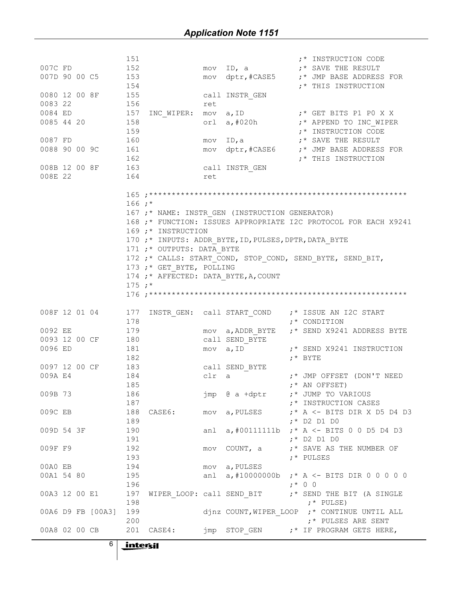|                   | 151                       |                                                       | ;* INSTRUCTION CODE                                             |
|-------------------|---------------------------|-------------------------------------------------------|-----------------------------------------------------------------|
| 007C FD           | 152                       | ID, a<br>mov                                          | ;* SAVE THE RESULT                                              |
| 007D 90 00 C5     | 153                       | mov dptr, #CASE5                                      | ;* JMP BASE ADDRESS FOR                                         |
|                   | 154                       |                                                       | ;* THIS INSTRUCTION                                             |
| 0080 12 00 8F     | 155                       |                                                       |                                                                 |
|                   |                           | call INSTR GEN                                        |                                                                 |
| 0083 22           | 156                       | ret                                                   |                                                                 |
| 0084 ED           | 157                       | INC WIPER: mov a, ID                                  | ;* GET BITS P1 P0 X X                                           |
| 0085 44 20        | 158                       | orl $a, #020h$                                        | ;* APPEND TO INC WIPER                                          |
|                   | 159                       |                                                       | ;* INSTRUCTION CODE                                             |
| 0087 FD           | 160                       | ID,a<br>MOV                                           | ;* SAVE THE RESULT                                              |
| 0088 90 00 9C     | 161                       | mov dptr, #CASE6                                      | ;* JMP BASE ADDRESS FOR                                         |
|                   | 162                       |                                                       | ;* THIS INSTRUCTION                                             |
| 008B 12 00 8F     | 163                       |                                                       |                                                                 |
|                   |                           | call INSTR GEN                                        |                                                                 |
| 008E 22           | 164                       | ret                                                   |                                                                 |
|                   |                           |                                                       |                                                                 |
|                   |                           |                                                       |                                                                 |
|                   | $166:$ *                  |                                                       |                                                                 |
|                   |                           | 167 ;* NAME: INSTR GEN (INSTRUCTION GENERATOR)        |                                                                 |
|                   |                           |                                                       | 168 ;* FUNCTION: ISSUES APPROPRIATE I2C PROTOCOL FOR EACH X9241 |
|                   | 169 ;* INSTRUCTION        |                                                       |                                                                 |
|                   |                           |                                                       |                                                                 |
|                   |                           | 170 ;* INPUTS: ADDR_BYTE, ID, PULSES, DPTR, DATA_BYTE |                                                                 |
|                   | 171 ;* OUTPUTS: DATA BYTE |                                                       |                                                                 |
|                   |                           |                                                       | 172 ;* CALLS: START_COND, STOP_COND, SEND_BYTE, SEND_BIT,       |
|                   | 173 ;* GET BYTE, POLLING  |                                                       |                                                                 |
|                   |                           | 174 ;* AFFECTED: DATA BYTE, A, COUNT                  |                                                                 |
|                   | $175 :*$                  |                                                       |                                                                 |
|                   |                           |                                                       |                                                                 |
|                   |                           |                                                       |                                                                 |
| 008F 12 01 04     | 177                       | INSTR GEN: call START COND                            | ;* ISSUE AN I2C START                                           |
|                   | 178                       |                                                       | ;* CONDITION                                                    |
|                   |                           |                                                       |                                                                 |
| 0092 EE           | 179                       | mov a, ADDR BYTE                                      | ;* SEND X9241 ADDRESS BYTE                                      |
| 0093 12 00 CF     | 180                       | call SEND BYTE                                        |                                                                 |
| 0096 ED           | 181                       | a, ID<br>mov                                          | ;* SEND X9241 INSTRUCTION                                       |
|                   | 182                       |                                                       | $;*$ BYTE                                                       |
| 0097 12 00 CF     | 183                       | call SEND BYTE                                        |                                                                 |
| 009A E4           | 184                       | clr a                                                 | ;* JMP OFFSET (DON'T NEED                                       |
|                   | 185                       |                                                       | $;*$ AN OFFSET)                                                 |
| 009B 73           | 186                       | jmp @ a +dptr                                         | ;* JUMP TO VARIOUS                                              |
|                   |                           |                                                       |                                                                 |
|                   | 187                       |                                                       | ;* INSTRUCTION CASES                                            |
| 009C EB           | 188                       | CASE6: mov a, PULSES                                  | $;*$ A $<-$ BITS DIR X D5 D4 D3                                 |
|                   | 189                       |                                                       | $; *$ D2 D1 D0                                                  |
| 009D 54 3F        | 190                       | anl                                                   | $a, #001111111b$ $; * A < - BITS 0 0 D5 D4 D3$                  |
|                   | 191                       |                                                       | $; *$ D2 D1 D0                                                  |
| 009F F9           | 192                       | COUNT, a<br>mov                                       | ;* SAVE AS THE NUMBER OF                                        |
|                   | 193                       |                                                       | ;* PULSES                                                       |
| 00A0 EB           | 194                       | a, PULSES<br>mov                                      |                                                                 |
| 00A1 54 80        | 195                       |                                                       | anl a, #10000000b ; * A <- BITS DIR 0 0 0 0 0                   |
|                   |                           |                                                       |                                                                 |
|                   | 196                       |                                                       | $; * 0 0$                                                       |
| 00A3 12 00 E1     | 197                       | WIPER LOOP: call SEND BIT                             | ;* SEND THE BIT (A SINGLE                                       |
|                   | 198                       |                                                       | $;*$ PULSE)                                                     |
| 00A6 D9 FB [00A3] | 199                       |                                                       | djnz COUNT, WIPER LOOP ;* CONTINUE UNTIL ALL                    |
|                   | 200                       |                                                       | ;* PULSES ARE SENT                                              |
| 00A8 02 00 CB     | 201 CASE4:                |                                                       | $\text{imp}$ STOP GEN $\cdot$ $\cdot$ IF PROGRAM GETS HERE,     |
|                   |                           |                                                       |                                                                 |
| 6                 | intersil                  |                                                       |                                                                 |
|                   |                           |                                                       |                                                                 |
|                   |                           |                                                       |                                                                 |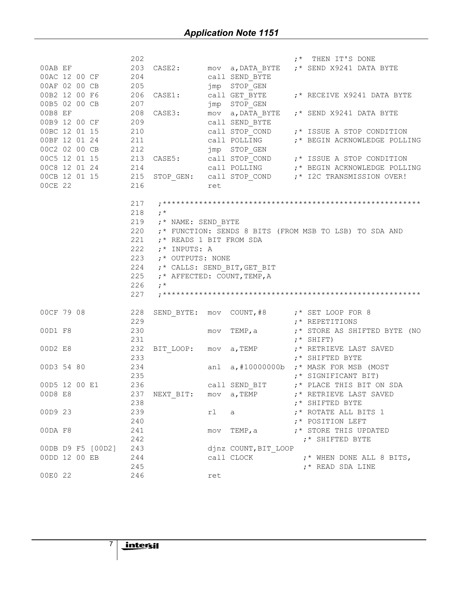|                   | 202 |                             |     |                      | ;* THEN IT'S DONE                                      |
|-------------------|-----|-----------------------------|-----|----------------------|--------------------------------------------------------|
|                   |     |                             |     |                      |                                                        |
|                   |     |                             |     |                      |                                                        |
|                   |     |                             |     |                      |                                                        |
|                   |     |                             |     |                      | CASE1: call GET_BYTE :* RECEIVE X9241 DATA BYTE        |
|                   |     |                             |     |                      |                                                        |
|                   |     |                             |     |                      |                                                        |
|                   |     |                             |     |                      |                                                        |
|                   |     |                             |     |                      |                                                        |
|                   |     |                             |     |                      | call POLLING $\qquad$ ; * BEGIN ACKNOWLEDGE POLLING    |
|                   |     |                             |     |                      |                                                        |
|                   |     |                             |     |                      |                                                        |
|                   |     |                             |     |                      | call POLLING $\qquad$ ; * BEGIN ACKNOWLEDGE POLLING    |
|                   |     |                             |     |                      |                                                        |
| 00CE 22           | 216 |                             | ret |                      |                                                        |
|                   |     |                             |     |                      |                                                        |
|                   | 217 |                             |     |                      |                                                        |
|                   | 218 | $\cdot$ ; $\cdot$           |     |                      |                                                        |
|                   | 219 |                             |     |                      |                                                        |
|                   | 220 | ;* NAME: SEND_BYTE          |     |                      | ;* FUNCTION: SENDS 8 BITS (FROM MSB TO LSB) TO SDA AND |
|                   | 221 | ;* READS 1 BIT FROM SDA     |     |                      |                                                        |
|                   | 222 |                             |     |                      |                                                        |
|                   |     | ;* INPUTS: A                |     |                      |                                                        |
|                   | 223 | ;* OUTPUTS: NONE            |     |                      |                                                        |
|                   | 224 | ;* CALLS: SEND_BIT, GET BIT |     |                      |                                                        |
|                   | 225 | ;* AFFECTED: COUNT, TEMP, A |     |                      |                                                        |
|                   |     |                             |     |                      |                                                        |
|                   | 226 | $\cdot$ $\cdot$ $\cdot$     |     |                      |                                                        |
|                   | 227 |                             |     |                      |                                                        |
|                   |     |                             |     |                      |                                                        |
| 00CF 79 08 228    |     |                             |     |                      | SEND BYTE: mov COUNT, #8 :* SET LOOP FOR 8             |
|                   | 229 |                             |     |                      | ;* REPETITIONS                                         |
| 00D1 F8           | 230 |                             |     | mov TEMP,a           | ;* STORE AS SHIFTED BYTE (NO                           |
|                   | 231 |                             |     |                      | $; *$ SHIFT)                                           |
| 00D2 E8           | 232 |                             |     |                      | BIT LOOP: mov a, TEMP ;* RETRIEVE LAST SAVED           |
|                   | 233 |                             |     |                      | ;* SHIFTED BYTE                                        |
| 00D3 54 80        | 234 |                             |     |                      | anl $a, #10000000b$ $; *$ MASK FOR MSB (MOST           |
|                   | 235 |                             |     |                      | ;* SIGNIFICANT BIT)                                    |
| 00D5 12 00 E1 236 |     |                             |     |                      | call SEND_BIT (* PLACE THIS BIT ON SDA                 |
| 00D8 E8           |     | 237 NEXT BIT: mov a, TEMP   |     |                      | ;* RETRIEVE LAST SAVED                                 |
|                   | 238 |                             |     |                      | ;* SHIFTED BYTE                                        |
| 00D9 23           | 239 |                             | rl  | a                    | ;* ROTATE ALL BITS 1                                   |
|                   | 240 |                             |     |                      | ;* POSITION LEFT                                       |
| 00DA F8           | 241 |                             |     | mov TEMP, a          | ;* STORE THIS UPDATED                                  |
|                   | 242 |                             |     |                      | ;* SHIFTED BYTE                                        |
| 00DB D9 F5 [00D2] | 243 |                             |     | djnz COUNT, BIT LOOP |                                                        |
| 00DD 12 00 EB     | 244 |                             |     | call CLOCK           | ;* WHEN DONE ALL 8 BITS,                               |
|                   | 245 |                             |     |                      | ;* READ SDA LINE                                       |

7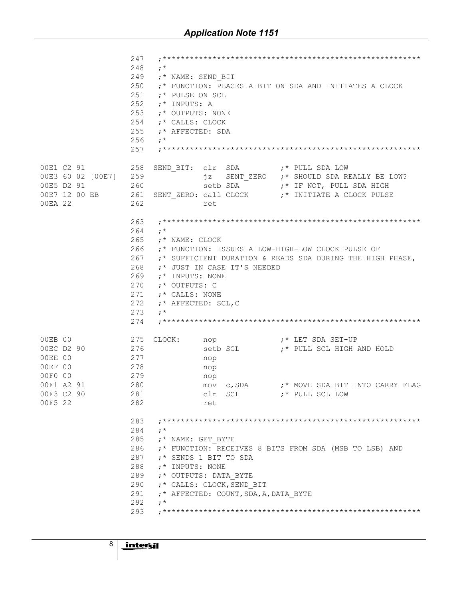|                                                                                                                        | 247<br>248<br>$:$ $*$<br>249<br>250<br>251<br>;* PULSE ON SCL<br>252<br>;* INPUTS: A<br>253<br>;* OUTPUTS: NONE<br>254<br>;* CALLS: CLOCK<br>255<br>;* AFFECTED: SDA<br>256<br>$\cdot^{\star}$<br>257 | ;* NAME: SEND BIT                                                                                                    | ;* FUNCTION: PLACES A BIT ON SDA AND INITIATES A CLOCK                                                                          |
|------------------------------------------------------------------------------------------------------------------------|-------------------------------------------------------------------------------------------------------------------------------------------------------------------------------------------------------|----------------------------------------------------------------------------------------------------------------------|---------------------------------------------------------------------------------------------------------------------------------|
| 00E1 C2 91 258<br>00E3 60 02 [00E7] 259<br>260<br>00E5 D2 91<br>00E7 12 00 EB 261<br>00EA 22                           | 262                                                                                                                                                                                                   | SEND BIT: clr SDA :* PULL SDA LOW<br>jz<br>ret                                                                       | SENT_ZERO ;* SHOULD SDA REALLY BE LOW?<br>setb SDA :* IF NOT, PULL SDA HIGH<br>SENT ZERO: call CLOCK ;* INITIATE A CLOCK PULSE  |
|                                                                                                                        | 263<br>264<br>$\cdot^{\star}$<br>265<br>;* NAME: CLOCK<br>266<br>267<br>268<br>269<br>;* INPUTS: NONE<br>270<br>;* OUTPUTS: C<br>271<br>;* CALLS: NONE<br>272<br>273<br>$\cdot^{\star}$<br>274        | ;* JUST IN CASE IT'S NEEDED<br>;* AFFECTED: SCL, C                                                                   | ;* FUNCTION: ISSUES A LOW-HIGH-LOW CLOCK PULSE OF<br>;* SUFFICIENT DURATION & READS SDA DURING THE HIGH PHASE,                  |
| 00EB 00<br>00EC D2 90 276<br>277<br>00EE 00<br>278<br>00EF 00<br>279<br>00F0 00<br>00F1 A2 91<br>00F3 C2 90<br>00F5 22 | 275<br>CLOCK:<br>280<br>281<br>282                                                                                                                                                                    | nop<br>nop<br>nop<br>clr SCL<br>ret                                                                                  | nop $f^*$ LET SDA SET-UP<br>setb SCL :* PULL SCL HIGH AND HOLD<br>mov c, SDA :* MOVE SDA BIT INTO CARRY FLAG<br>;* PULL SCL LOW |
|                                                                                                                        | 283<br>284<br>$\cdot$ $\cdot$ $\cdot$<br>285<br>;* NAME: GET BYTE<br>286<br>287<br>288<br>;* INPUTS: NONE<br>289<br>290<br>291<br>292<br>$; *$<br>293                                                 | ;* SENDS 1 BIT TO SDA<br>;* OUTPUTS: DATA BYTE<br>;* CALLS: CLOCK, SEND BIT<br>;* AFFECTED: COUNT, SDA, A, DATA BYTE | ;* FUNCTION: RECEIVES 8 BITS FROM SDA (MSB TO LSB) AND                                                                          |

8

 $\overline{\phantom{a}}$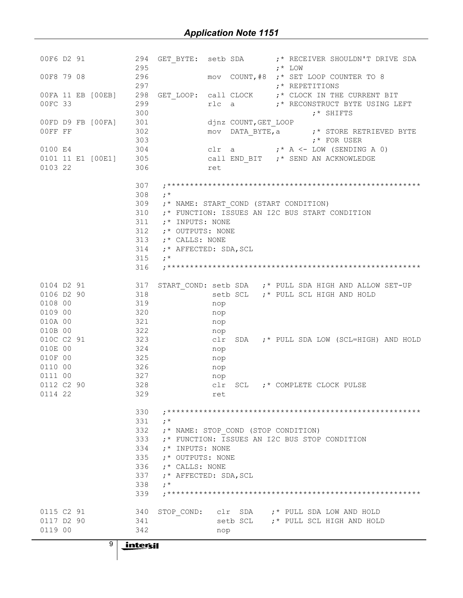| 00F6 D2 91                                                | 294<br>295                                             |                                       | GET BYTE: setb SDA ;* RECEIVER SHOULDN'T DRIVE SDA<br>$; *$ LOW             |
|-----------------------------------------------------------|--------------------------------------------------------|---------------------------------------|-----------------------------------------------------------------------------|
| 296<br>00F8 79 08                                         |                                                        |                                       | mov COUNT, #8 ; * SET LOOP COUNTER TO 8                                     |
| 297                                                       |                                                        |                                       | $;$ * REPETITIONS                                                           |
| 00FA 11 EB [00EB] 298<br>299                              |                                                        |                                       | GET LOOP: call CLOCK ;* CLOCK IN THE CURRENT BIT                            |
| 00FC 33                                                   | 300                                                    |                                       | rlc a <a>&gt; ;* RECONSTRUCT BYTE USING LEFT<br/><math>;*</math> SHIFTS</a> |
| 00FD D9 FB [00FA] 301                                     |                                                        | djnz COUNT, GET LOOP                  |                                                                             |
| 302<br>OOFF FF                                            |                                                        |                                       | mov DATA BYTE, a $:$ * STORE RETRIEVED BYTE                                 |
| 303                                                       |                                                        |                                       | $;*$ FOR USER                                                               |
| 0100 E4                                                   |                                                        |                                       | 304 clr a $: A \leftarrow \text{LOW (SENDING A 0)}$                         |
| 0101 11 E1 [00E1] 305 call END_BIT ;* SEND AN ACKNOWLEDGE |                                                        |                                       |                                                                             |
| 0103 22                                                   | 306                                                    | ret                                   |                                                                             |
|                                                           | 307                                                    |                                       |                                                                             |
|                                                           | 308<br>$\cdot^*$                                       |                                       |                                                                             |
|                                                           | 309                                                    | ;* NAME: START COND (START CONDITION) |                                                                             |
|                                                           | 310                                                    |                                       | ;* FUNCTION: ISSUES AN I2C BUS START CONDITION                              |
|                                                           | 311<br>;* INPUTS: NONE                                 |                                       |                                                                             |
|                                                           | 312<br>;* OUTPUTS: NONE                                |                                       |                                                                             |
|                                                           | 313<br>;* CALLS: NONE                                  |                                       |                                                                             |
|                                                           | 314<br>;* AFFECTED: SDA, SCL                           |                                       |                                                                             |
|                                                           | 315<br>$\cdot^{\star}$                                 |                                       |                                                                             |
|                                                           | 316                                                    |                                       |                                                                             |
| 0104 D2 91 317                                            |                                                        |                                       | START_COND: setb SDA ;* PULL SDA HIGH AND ALLOW SET-UP                      |
| 0106 D2 90 318                                            |                                                        |                                       | setb SCL ;* PULL SCL HIGH AND HOLD                                          |
| 0108 00<br>319                                            |                                                        | nop                                   |                                                                             |
| 0109 00<br>320                                            |                                                        | nop                                   |                                                                             |
| 010A 00<br>321                                            |                                                        | nop                                   |                                                                             |
| 322<br>010B 00                                            |                                                        | nop                                   |                                                                             |
| 010C C2 91 323                                            |                                                        | clr                                   | SDA ;* PULL SDA LOW (SCL=HIGH) AND HOLD                                     |
| 010E 00<br>324                                            |                                                        | nop                                   |                                                                             |
| 010F 00<br>325                                            |                                                        | nop                                   |                                                                             |
| 0110 00<br>326                                            |                                                        | nop                                   |                                                                             |
| 0111 00<br>327                                            |                                                        | nop                                   |                                                                             |
| 0112 C2 90<br>0114 22<br>329                              | 328                                                    | clr                                   | SCL ;* COMPLETE CLOCK PULSE                                                 |
|                                                           |                                                        | ret                                   |                                                                             |
|                                                           | 330                                                    |                                       |                                                                             |
|                                                           | 331<br>$\cdot^*$                                       |                                       |                                                                             |
|                                                           | 332                                                    | ;* NAME: STOP COND (STOP CONDITION)   |                                                                             |
|                                                           | 333                                                    |                                       | :* FUNCTION: ISSUES AN I2C BUS STOP CONDITION                               |
|                                                           | 334<br>:* INPUTS: NONE                                 |                                       |                                                                             |
|                                                           | 335<br>;* OUTPUTS: NONE                                |                                       |                                                                             |
|                                                           | 336<br>:* CALLS: NONE                                  |                                       |                                                                             |
|                                                           | 337<br>;* AFFECTED: SDA, SCL<br>338<br>$\cdot^{\star}$ |                                       |                                                                             |
|                                                           | 339                                                    |                                       |                                                                             |
|                                                           |                                                        |                                       |                                                                             |
| 0115 C2 91                                                | 340<br>STOP COND:                                      |                                       | clr SDA :* PULL SDA LOW AND HOLD                                            |
| 0117 D2 90                                                | 341                                                    |                                       | setb SCL ;* PULL SCL HIGH AND HOLD                                          |
| 0119 00                                                   | 342                                                    | nop                                   |                                                                             |

 $9 \mid$  intersil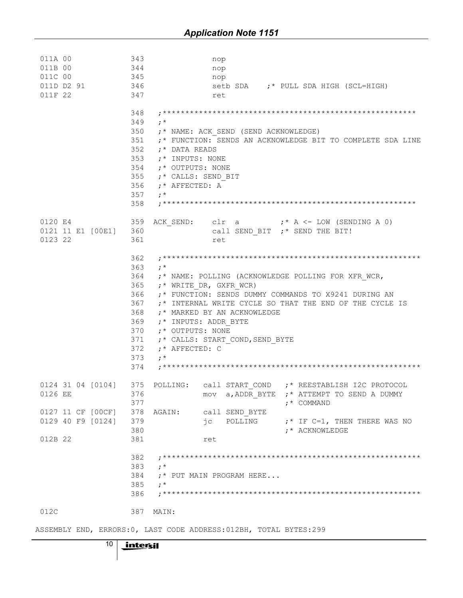| 011B 00           | 343<br>344                                    | nop<br>nop                                                                   |
|-------------------|-----------------------------------------------|------------------------------------------------------------------------------|
| 011C 00           | 345                                           | nop                                                                          |
| 011D D2 91        | 346                                           | setb SDA :* PULL SDA HIGH (SCL=HIGH)                                         |
| 011F 22           | 347                                           | ret                                                                          |
|                   | 348                                           |                                                                              |
|                   | 349<br>$\cdot$ $\cdot$ $\cdot$                |                                                                              |
|                   | 350                                           | ;* NAME: ACK SEND (SEND ACKNOWLEDGE)                                         |
|                   | 351                                           | ;* FUNCTION: SENDS AN ACKNOWLEDGE BIT TO COMPLETE SDA LINE                   |
|                   | 352<br>;* DATA READS                          |                                                                              |
|                   | 353<br>;* INPUTS: NONE<br>354                 |                                                                              |
|                   | ;* OUTPUTS: NONE<br>355<br>;* CALLS: SEND BIT |                                                                              |
|                   | 356<br>;* AFFECTED: A                         |                                                                              |
|                   | 357<br>$\cdot$ $\cdot$                        |                                                                              |
|                   | 358                                           |                                                                              |
| 0120 E4           | 359                                           | ACK SEND: $\text{clr}$ a $\qquad \qquad ;* A \leq LOW \text{ (SENDING A 0)}$ |
| 0121 11 E1 [00E1] | 360                                           | call SEND BIT ;* SEND THE BIT!                                               |
| 0123 22           | 361                                           | ret                                                                          |
|                   | 362                                           |                                                                              |
|                   | 363<br>$\cdot$ $\cdot$ $\cdot$                |                                                                              |
|                   | 364<br>365                                    | ;* NAME: POLLING (ACKNOWLEDGE POLLING FOR XFR WCR,                           |
|                   | $;*$ WRITE DR, GXFR WCR)<br>366               | ;* FUNCTION: SENDS DUMMY COMMANDS TO X9241 DURING AN                         |
|                   | 367                                           | ;* INTERNAL WRITE CYCLE SO THAT THE END OF THE CYCLE IS                      |
|                   | 368                                           | ;* MARKED BY AN ACKNOWLEDGE                                                  |
|                   |                                               |                                                                              |
|                   | 369<br>;* INPUTS: ADDR BYTE                   |                                                                              |
|                   | 370<br>;* OUTPUTS: NONE                       |                                                                              |
|                   | 371                                           | ;* CALLS: START COND, SEND BYTE                                              |
|                   | 372<br>$;$ * AFFECTED: C                      |                                                                              |
|                   | 373<br>$\cdot$ *                              |                                                                              |
|                   | 374                                           |                                                                              |
|                   |                                               | 0124 31 04 [0104] 375 POLLING: call START COND ;* REESTABLISH I2C PROTOCOL   |
| 0126 EE 376       |                                               | mov a, ADDR BYTE ;* ATTEMPT TO SEND A DUMMY                                  |
|                   | 377                                           | :* COMMAND                                                                   |
| 0127 11 CF [00CF] | 378<br>AGAIN:                                 | call SEND BYTE                                                               |
| 0129 40 F9 [0124] | 379                                           | jc POLLING<br>$;*$ IF C=1, THEN THERE WAS NO                                 |
|                   | 380                                           | ;* ACKNOWLEDGE                                                               |
| 012B 22           | 381                                           | ret                                                                          |
|                   | 382                                           |                                                                              |
|                   | 383<br>$\cdot$ $\cdot$ $\cdot$                |                                                                              |
|                   | 384                                           | $;*$ PUT MAIN PROGRAM HERE                                                   |
|                   | 385<br>$\cdot$ $\cdot$                        |                                                                              |
|                   | 386                                           |                                                                              |

ASSEMBLY END, ERRORS: 0, LAST CODE ADDRESS: 012BH, TOTAL BYTES: 299

 $10$ intersil

 $\mathbf{I}$